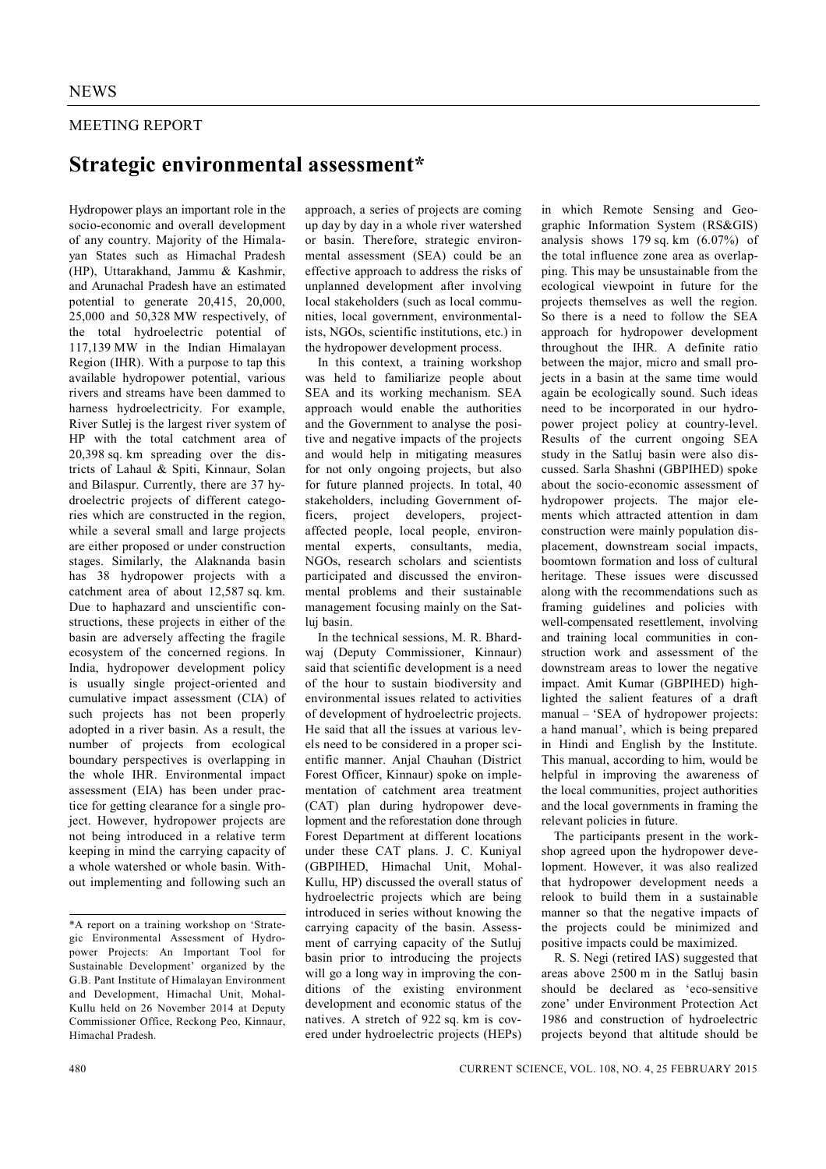## MEETING REPORT

## **Strategic environmental assessment\***

Hydropower plays an important role in the socio-economic and overall development of any country. Majority of the Himalayan States such as Himachal Pradesh (HP), Uttarakhand, Jammu & Kashmir, and Arunachal Pradesh have an estimated potential to generate 20,415, 20,000, 25,000 and 50,328 MW respectively, of the total hydroelectric potential of 117,139 MW in the Indian Himalayan Region (IHR). With a purpose to tap this available hydropower potential, various rivers and streams have been dammed to harness hydroelectricity. For example, River Sutlej is the largest river system of HP with the total catchment area of 20,398 sq. km spreading over the districts of Lahaul & Spiti, Kinnaur, Solan and Bilaspur. Currently, there are 37 hydroelectric projects of different categories which are constructed in the region, while a several small and large projects are either proposed or under construction stages. Similarly, the Alaknanda basin has 38 hydropower projects with a catchment area of about 12,587 sq. km. Due to haphazard and unscientific constructions, these projects in either of the basin are adversely affecting the fragile ecosystem of the concerned regions. In India, hydropower development policy is usually single project-oriented and cumulative impact assessment (CIA) of such projects has not been properly adopted in a river basin. As a result, the number of projects from ecological boundary perspectives is overlapping in the whole IHR. Environmental impact assessment (EIA) has been under practice for getting clearance for a single project. However, hydropower projects are not being introduced in a relative term keeping in mind the carrying capacity of a whole watershed or whole basin. Without implementing and following such an

approach, a series of projects are coming up day by day in a whole river watershed or basin. Therefore, strategic environmental assessment (SEA) could be an effective approach to address the risks of unplanned development after involving local stakeholders (such as local communities, local government, environmentalists, NGOs, scientific institutions, etc.) in the hydropower development process.

In this context, a training workshop was held to familiarize people about SEA and its working mechanism. SEA approach would enable the authorities and the Government to analyse the positive and negative impacts of the projects and would help in mitigating measures for not only ongoing projects, but also for future planned projects. In total, 40 stakeholders, including Government officers, project developers, projectaffected people, local people, environmental experts, consultants, media, NGOs, research scholars and scientists participated and discussed the environmental problems and their sustainable management focusing mainly on the Satluj basin.

In the technical sessions, M. R. Bhardwaj (Deputy Commissioner, Kinnaur) said that scientific development is a need of the hour to sustain biodiversity and environmental issues related to activities of development of hydroelectric projects. He said that all the issues at various levels need to be considered in a proper scientific manner. Anjal Chauhan (District Forest Officer, Kinnaur) spoke on implementation of catchment area treatment (CAT) plan during hydropower development and the reforestation done through Forest Department at different locations under these CAT plans. J. C. Kuniyal (GBPIHED, Himachal Unit, Mohal-Kullu, HP) discussed the overall status of hydroelectric projects which are being introduced in series without knowing the carrying capacity of the basin. Assessment of carrying capacity of the Sutluj basin prior to introducing the projects will go a long way in improving the conditions of the existing environment development and economic status of the natives. A stretch of 922 sq. km is covered under hydroelectric projects (HEPs) in which Remote Sensing and Geographic Information System (RS&GIS) analysis shows 179 sq. km  $(6.07\%)$  of the total influence zone area as overlapping. This may be unsustainable from the ecological viewpoint in future for the projects themselves as well the region. So there is a need to follow the SEA approach for hydropower development throughout the IHR. A definite ratio between the major, micro and small projects in a basin at the same time would again be ecologically sound. Such ideas need to be incorporated in our hydropower project policy at country-level. Results of the current ongoing SEA study in the Satluj basin were also discussed. Sarla Shashni (GBPIHED) spoke about the socio-economic assessment of hydropower projects. The major elements which attracted attention in dam construction were mainly population displacement, downstream social impacts, boomtown formation and loss of cultural heritage. These issues were discussed along with the recommendations such as framing guidelines and policies with well-compensated resettlement, involving and training local communities in construction work and assessment of the downstream areas to lower the negative impact. Amit Kumar (GBPIHED) highlighted the salient features of a draft manual – 'SEA of hydropower projects: a hand manual', which is being prepared in Hindi and English by the Institute. This manual, according to him, would be helpful in improving the awareness of the local communities, project authorities and the local governments in framing the relevant policies in future.

The participants present in the workshop agreed upon the hydropower development. However, it was also realized that hydropower development needs a relook to build them in a sustainable manner so that the negative impacts of the projects could be minimized and positive impacts could be maximized.

R. S. Negi (retired IAS) suggested that areas above 2500 m in the Satluj basin should be declared as 'eco-sensitive zone' under Environment Protection Act 1986 and construction of hydroelectric projects beyond that altitude should be

<sup>\*</sup>A report on a training workshop on 'Strategic Environmental Assessment of Hydropower Projects: An Important Tool for Sustainable Development' organized by the G.B. Pant Institute of Himalayan Environment and Development, Himachal Unit, Mohal-Kullu held on 26 November 2014 at Deputy Commissioner Office, Reckong Peo, Kinnaur, Himachal Pradesh.